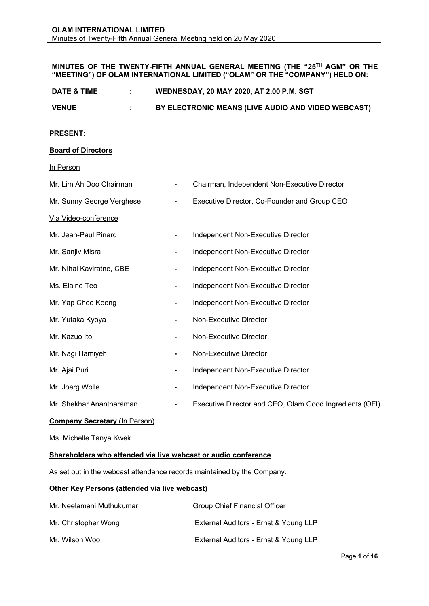## **MINUTES OF THE TWENTY-FIFTH ANNUAL GENERAL MEETING (THE "25TH AGM" OR THE "MEETING") OF OLAM INTERNATIONAL LIMITED ("OLAM" OR THE "COMPANY") HELD ON:**

| <b>DATE &amp; TIME</b> | <b>WEDNESDAY, 20 MAY 2020, AT 2.00 P.M. SGT</b>    |
|------------------------|----------------------------------------------------|
| <b>VENUE</b>           | BY ELECTRONIC MEANS (LIVE AUDIO AND VIDEO WEBCAST) |

#### **PRESENT:**

#### **Board of Directors**

#### In Person

| Mr. Lim Ah Doo Chairman              |                | Chairman, Independent Non-Executive Director            |
|--------------------------------------|----------------|---------------------------------------------------------|
| Mr. Sunny George Verghese            | ۰              | Executive Director, Co-Founder and Group CEO            |
| Via Video-conference                 |                |                                                         |
| Mr. Jean-Paul Pinard                 |                | Independent Non-Executive Director                      |
| Mr. Sanjiv Misra                     | $\blacksquare$ | Independent Non-Executive Director                      |
| Mr. Nihal Kaviratne, CBE             |                | Independent Non-Executive Director                      |
| Ms. Elaine Teo                       | $\blacksquare$ | Independent Non-Executive Director                      |
| Mr. Yap Chee Keong                   |                | Independent Non-Executive Director                      |
| Mr. Yutaka Kyoya                     | $\blacksquare$ | Non-Executive Director                                  |
| Mr. Kazuo Ito                        |                | Non-Executive Director                                  |
| Mr. Nagi Hamiyeh                     | $\blacksquare$ | Non-Executive Director                                  |
| Mr. Ajai Puri                        | $\blacksquare$ | Independent Non-Executive Director                      |
| Mr. Joerg Wolle                      | ۰              | Independent Non-Executive Director                      |
| Mr. Shekhar Anantharaman             | $\blacksquare$ | Executive Director and CEO, Olam Good Ingredients (OFI) |
| <b>Company Secretary (In Person)</b> |                |                                                         |
| Ms. Michelle Tanya Kwek              |                |                                                         |

# **Shareholders who attended via live webcast or audio conference**

As set out in the webcast attendance records maintained by the Company.

### **Other Key Persons (attended via live webcast)**

| Mr. Neelamani Muthukumar | Group Chief Financial Officer         |
|--------------------------|---------------------------------------|
| Mr. Christopher Wong     | External Auditors - Ernst & Young LLP |
| Mr. Wilson Woo           | External Auditors - Ernst & Young LLP |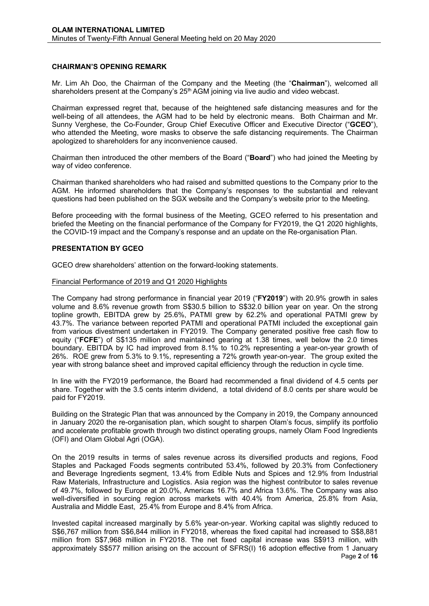# **CHAIRMAN'S OPENING REMARK**

Mr. Lim Ah Doo, the Chairman of the Company and the Meeting (the "**Chairman**"), welcomed all shareholders present at the Company's  $25<sup>th</sup> AGM$  joining via live audio and video webcast.

Chairman expressed regret that, because of the heightened safe distancing measures and for the well-being of all attendees, the AGM had to be held by electronic means. Both Chairman and Mr. Sunny Verghese, the Co-Founder, Group Chief Executive Officer and Executive Director ("**GCEO**"), who attended the Meeting, wore masks to observe the safe distancing requirements. The Chairman apologized to shareholders for any inconvenience caused.

Chairman then introduced the other members of the Board ("**Board**") who had joined the Meeting by way of video conference.

Chairman thanked shareholders who had raised and submitted questions to the Company prior to the AGM. He informed shareholders that the Company's responses to the substantial and relevant questions had been published on the SGX website and the Company's website prior to the Meeting.

Before proceeding with the formal business of the Meeting, GCEO referred to his presentation and briefed the Meeting on the financial performance of the Company for FY2019, the Q1 2020 highlights, the COVID-19 impact and the Company's response and an update on the Re-organisation Plan.

### **PRESENTATION BY GCEO**

GCEO drew shareholders' attention on the forward-looking statements.

#### Financial Performance of 2019 and Q1 2020 Highlights

The Company had strong performance in financial year 2019 ("**FY2019**") with 20.9% growth in sales volume and 8.6% revenue growth from S\$30.5 billion to S\$32.0 billion year on year. On the strong topline growth, EBITDA grew by 25.6%, PATMI grew by 62.2% and operational PATMI grew by 43.7%. The variance between reported PATMI and operational PATMI included the exceptional gain from various divestment undertaken in FY2019. The Company generated positive free cash flow to equity ("**FCFE**") of S\$135 million and maintained gearing at 1.38 times, well below the 2.0 times boundary. EBITDA by IC had improved from 8.1% to 10.2% representing a year-on-year growth of 26%. ROE grew from 5.3% to 9.1%, representing a 72% growth year-on-year. The group exited the year with strong balance sheet and improved capital efficiency through the reduction in cycle time.

In line with the FY2019 performance, the Board had recommended a final dividend of 4.5 cents per share. Together with the 3.5 cents interim dividend, a total dividend of 8.0 cents per share would be paid for FY2019.

Building on the Strategic Plan that was announced by the Company in 2019, the Company announced in January 2020 the re-organisation plan, which sought to sharpen Olam's focus, simplify its portfolio and accelerate profitable growth through two distinct operating groups, namely Olam Food Ingredients (OFI) and Olam Global Agri (OGA).

On the 2019 results in terms of sales revenue across its diversified products and regions, Food Staples and Packaged Foods segments contributed 53.4%, followed by 20.3% from Confectionery and Beverage Ingredients segment, 13.4% from Edible Nuts and Spices and 12.9% from Industrial Raw Materials, Infrastructure and Logistics. Asia region was the highest contributor to sales revenue of 49.7%, followed by Europe at 20.0%, Americas 16.7% and Africa 13.6%. The Company was also well-diversified in sourcing region across markets with 40.4% from America, 25.8% from Asia, Australia and Middle East, 25.4% from Europe and 8.4% from Africa.

Page **2** of **16** Invested capital increased marginally by 5.6% year-on-year. Working capital was slightly reduced to S\$6,767 million from S\$6,844 million in FY2018, whereas the fixed capital had increased to S\$8,881 million from S\$7,968 million in FY2018. The net fixed capital increase was S\$913 million, with approximately S\$577 million arising on the account of SFRS(I) 16 adoption effective from 1 January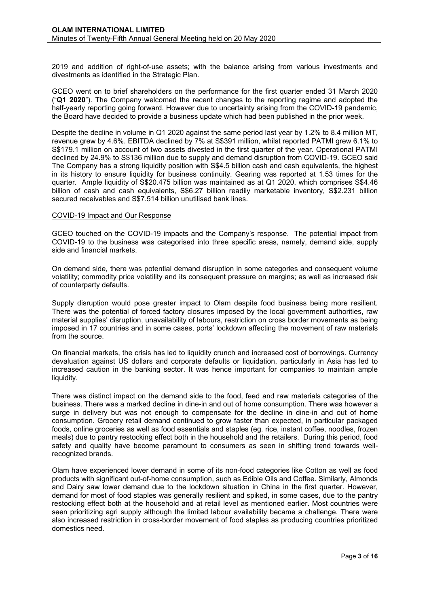2019 and addition of right-of-use assets; with the balance arising from various investments and divestments as identified in the Strategic Plan.

GCEO went on to brief shareholders on the performance for the first quarter ended 31 March 2020 ("**Q1 2020**"). The Company welcomed the recent changes to the reporting regime and adopted the half-yearly reporting going forward. However due to uncertainty arising from the COVID-19 pandemic, the Board have decided to provide a business update which had been published in the prior week.

Despite the decline in volume in Q1 2020 against the same period last year by 1.2% to 8.4 million MT, revenue grew by 4.6%. EBITDA declined by 7% at S\$391 million, whilst reported PATMI grew 6.1% to S\$179.1 million on account of two assets divested in the first quarter of the year. Operational PATMI declined by 24.9% to S\$136 million due to supply and demand disruption from COVID-19. GCEO said The Company has a strong liquidity position with S\$4.5 billion cash and cash equivalents, the highest in its history to ensure liquidity for business continuity. Gearing was reported at 1.53 times for the quarter. Ample liquidity of S\$20.475 billion was maintained as at Q1 2020, which comprises S\$4.46 billion of cash and cash equivalents, S\$6.27 billion readily marketable inventory, S\$2.231 billion secured receivables and S\$7.514 billion unutilised bank lines.

#### COVID-19 Impact and Our Response

GCEO touched on the COVID-19 impacts and the Company's response. The potential impact from COVID-19 to the business was categorised into three specific areas, namely, demand side, supply side and financial markets.

On demand side, there was potential demand disruption in some categories and consequent volume volatility; commodity price volatility and its consequent pressure on margins; as well as increased risk of counterparty defaults.

Supply disruption would pose greater impact to Olam despite food business being more resilient. There was the potential of forced factory closures imposed by the local government authorities, raw material supplies' disruption, unavailability of labours, restriction on cross border movements as being imposed in 17 countries and in some cases, ports' lockdown affecting the movement of raw materials from the source.

On financial markets, the crisis has led to liquidity crunch and increased cost of borrowings. Currency devaluation against US dollars and corporate defaults or liquidation, particularly in Asia has led to increased caution in the banking sector. It was hence important for companies to maintain ample liquidity.

There was distinct impact on the demand side to the food, feed and raw materials categories of the business. There was a marked decline in dine-in and out of home consumption. There was however a surge in delivery but was not enough to compensate for the decline in dine-in and out of home consumption. Grocery retail demand continued to grow faster than expected, in particular packaged foods, online groceries as well as food essentials and staples (eg. rice, instant coffee, noodles, frozen meals) due to pantry restocking effect both in the household and the retailers. During this period, food safety and quality have become paramount to consumers as seen in shifting trend towards wellrecognized brands.

Olam have experienced lower demand in some of its non-food categories like Cotton as well as food products with significant out-of-home consumption, such as Edible Oils and Coffee. Similarly, Almonds and Dairy saw lower demand due to the lockdown situation in China in the first quarter. However, demand for most of food staples was generally resilient and spiked, in some cases, due to the pantry restocking effect both at the household and at retail level as mentioned earlier. Most countries were seen prioritizing agri supply although the limited labour availability became a challenge. There were also increased restriction in cross-border movement of food staples as producing countries prioritized domestics need.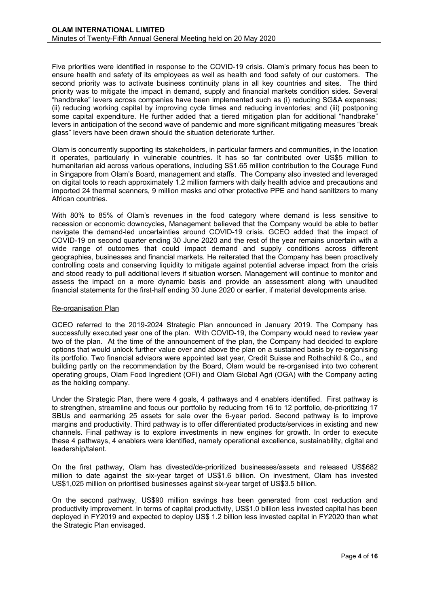Five priorities were identified in response to the COVID-19 crisis. Olam's primary focus has been to ensure health and safety of its employees as well as health and food safety of our customers. The second priority was to activate business continuity plans in all key countries and sites. The third priority was to mitigate the impact in demand, supply and financial markets condition sides. Several "handbrake" levers across companies have been implemented such as (i) reducing SG&A expenses; (ii) reducing working capital by improving cycle times and reducing inventories; and (iii) postponing some capital expenditure. He further added that a tiered mitigation plan for additional "handbrake" levers in anticipation of the second wave of pandemic and more significant mitigating measures "break glass" levers have been drawn should the situation deteriorate further.

Olam is concurrently supporting its stakeholders, in particular farmers and communities, in the location it operates, particularly in vulnerable countries. It has so far contributed over US\$5 million to humanitarian aid across various operations, including S\$1.65 million contribution to the Courage Fund in Singapore from Olam's Board, management and staffs. The Company also invested and leveraged on digital tools to reach approximately 1.2 million farmers with daily health advice and precautions and imported 24 thermal scanners, 9 million masks and other protective PPE and hand sanitizers to many African countries.

With 80% to 85% of Olam's revenues in the food category where demand is less sensitive to recession or economic downcycles, Management believed that the Company would be able to better navigate the demand-led uncertainties around COVID-19 crisis. GCEO added that the impact of COVID-19 on second quarter ending 30 June 2020 and the rest of the year remains uncertain with a wide range of outcomes that could impact demand and supply conditions across different geographies, businesses and financial markets. He reiterated that the Company has been proactively controlling costs and conserving liquidity to mitigate against potential adverse impact from the crisis and stood ready to pull additional levers if situation worsen. Management will continue to monitor and assess the impact on a more dynamic basis and provide an assessment along with unaudited financial statements for the first-half ending 30 June 2020 or earlier, if material developments arise.

# Re-organisation Plan

GCEO referred to the 2019-2024 Strategic Plan announced in January 2019. The Company has successfully executed year one of the plan. With COVID-19, the Company would need to review year two of the plan. At the time of the announcement of the plan, the Company had decided to explore options that would unlock further value over and above the plan on a sustained basis by re-organising its portfolio. Two financial advisors were appointed last year, Credit Suisse and Rothschild & Co., and building partly on the recommendation by the Board, Olam would be re-organised into two coherent operating groups, Olam Food Ingredient (OFI) and Olam Global Agri (OGA) with the Company acting as the holding company.

Under the Strategic Plan, there were 4 goals, 4 pathways and 4 enablers identified. First pathway is to strengthen, streamline and focus our portfolio by reducing from 16 to 12 portfolio, de-prioritizing 17 SBUs and earmarking 25 assets for sale over the 6-year period. Second pathway is to improve margins and productivity. Third pathway is to offer differentiated products/services in existing and new channels. Final pathway is to explore investments in new engines for growth. In order to execute these 4 pathways, 4 enablers were identified, namely operational excellence, sustainability, digital and leadership/talent.

On the first pathway, Olam has divested/de-prioritized businesses/assets and released US\$682 million to date against the six-year target of US\$1.6 billion. On investment, Olam has invested US\$1,025 million on prioritised businesses against six-year target of US\$3.5 billion.

On the second pathway, US\$90 million savings has been generated from cost reduction and productivity improvement. In terms of capital productivity, US\$1.0 billion less invested capital has been deployed in FY2019 and expected to deploy US\$ 1.2 billion less invested capital in FY2020 than what the Strategic Plan envisaged.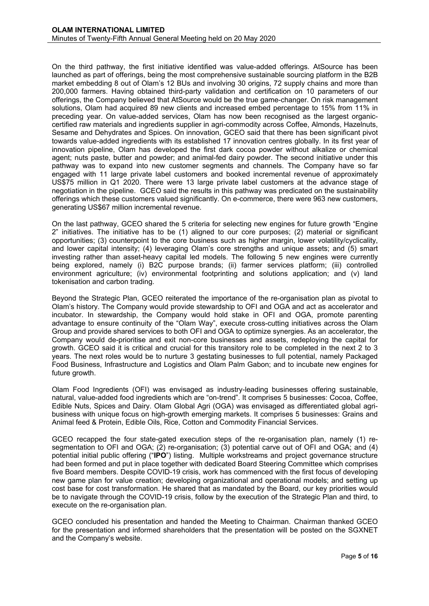On the third pathway, the first initiative identified was value-added offerings. AtSource has been launched as part of offerings, being the most comprehensive sustainable sourcing platform in the B2B market embedding 8 out of Olam's 12 BUs and involving 30 origins, 72 supply chains and more than 200,000 farmers. Having obtained third-party validation and certification on 10 parameters of our offerings, the Company believed that AtSource would be the true game-changer. On risk management solutions, Olam had acquired 89 new clients and increased embed percentage to 15% from 11% in preceding year. On value-added services, Olam has now been recognised as the largest organiccertified raw materials and ingredients supplier in agri-commodity across Coffee, Almonds, Hazelnuts, Sesame and Dehydrates and Spices. On innovation, GCEO said that there has been significant pivot towards value-added ingredients with its established 17 innovation centres globally. In its first year of innovation pipeline, Olam has developed the first dark cocoa powder without alkalize or chemical agent; nuts paste, butter and powder; and animal-fed dairy powder. The second initiative under this pathway was to expand into new customer segments and channels. The Company have so far engaged with 11 large private label customers and booked incremental revenue of approximately US\$75 million in Q1 2020. There were 13 large private label customers at the advance stage of negotiation in the pipeline. GCEO said the results in this pathway was predicated on the sustainability offerings which these customers valued significantly. On e-commerce, there were 963 new customers, generating US\$67 million incremental revenue.

On the last pathway, GCEO shared the 5 criteria for selecting new engines for future growth "Engine 2" initiatives. The initiative has to be (1) aligned to our core purposes; (2) material or significant opportunities; (3) counterpoint to the core business such as higher margin, lower volatility/cyclicality, and lower capital intensity; (4) leveraging Olam's core strengths and unique assets; and (5) smart investing rather than asset-heavy capital led models. The following 5 new engines were currently being explored, namely (i) B2C purpose brands; (ii) farmer services platform; (iii) controlled environment agriculture; (iv) environmental footprinting and solutions application; and (v) land tokenisation and carbon trading.

Beyond the Strategic Plan, GCEO reiterated the importance of the re-organisation plan as pivotal to Olam's history. The Company would provide stewardship to OFI and OGA and act as accelerator and incubator. In stewardship, the Company would hold stake in OFI and OGA, promote parenting advantage to ensure continuity of the "Olam Way", execute cross-cutting initiatives across the Olam Group and provide shared services to both OFI and OGA to optimize synergies. As an accelerator, the Company would de-prioritise and exit non-core businesses and assets, redeploying the capital for growth. GCEO said it is critical and crucial for this transitory role to be completed in the next 2 to 3 years. The next roles would be to nurture 3 gestating businesses to full potential, namely Packaged Food Business, Infrastructure and Logistics and Olam Palm Gabon; and to incubate new engines for future growth.

Olam Food Ingredients (OFI) was envisaged as industry-leading businesses offering sustainable, natural, value-added food ingredients which are "on-trend". It comprises 5 businesses: Cocoa, Coffee, Edible Nuts, Spices and Dairy. Olam Global Agri (OGA) was envisaged as differentiated global agribusiness with unique focus on high-growth emerging markets. It comprises 5 businesses: Grains and Animal feed & Protein, Edible Oils, Rice, Cotton and Commodity Financial Services.

GCEO recapped the four state-gated execution steps of the re-organisation plan, namely (1) resegmentation to OFI and OGA; (2) re-organisation; (3) potential carve out of OFI and OGA; and (4) potential initial public offering ("**IPO**") listing. Multiple workstreams and project governance structure had been formed and put in place together with dedicated Board Steering Committee which comprises five Board members. Despite COVID-19 crisis, work has commenced with the first focus of developing new game plan for value creation; developing organizational and operational models; and setting up cost base for cost transformation. He shared that as mandated by the Board, our key priorities would be to navigate through the COVID-19 crisis, follow by the execution of the Strategic Plan and third, to execute on the re-organisation plan.

GCEO concluded his presentation and handed the Meeting to Chairman. Chairman thanked GCEO for the presentation and informed shareholders that the presentation will be posted on the SGXNET and the Company's website.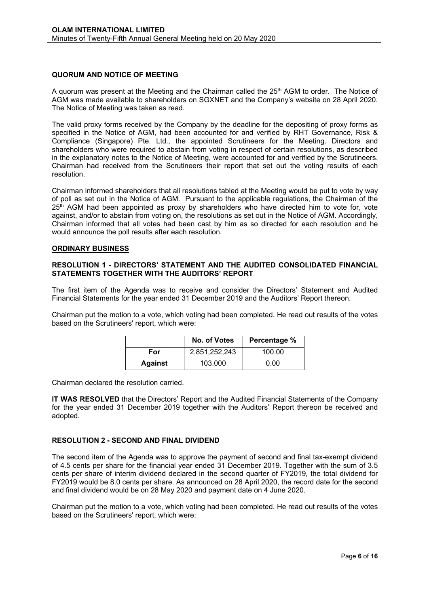### **QUORUM AND NOTICE OF MEETING**

A quorum was present at the Meeting and the Chairman called the 25<sup>th</sup> AGM to order. The Notice of AGM was made available to shareholders on SGXNET and the Company's website on 28 April 2020. The Notice of Meeting was taken as read.

The valid proxy forms received by the Company by the deadline for the depositing of proxy forms as specified in the Notice of AGM, had been accounted for and verified by RHT Governance, Risk & Compliance (Singapore) Pte. Ltd., the appointed Scrutineers for the Meeting. Directors and shareholders who were required to abstain from voting in respect of certain resolutions, as described in the explanatory notes to the Notice of Meeting, were accounted for and verified by the Scrutineers. Chairman had received from the Scrutineers their report that set out the voting results of each resolution.

Chairman informed shareholders that all resolutions tabled at the Meeting would be put to vote by way of poll as set out in the Notice of AGM. Pursuant to the applicable regulations, the Chairman of the 25<sup>th</sup> AGM had been appointed as proxy by shareholders who have directed him to vote for, vote against, and/or to abstain from voting on, the resolutions as set out in the Notice of AGM. Accordingly, Chairman informed that all votes had been cast by him as so directed for each resolution and he would announce the poll results after each resolution.

#### **ORDINARY BUSINESS**

### **RESOLUTION 1 - DIRECTORS' STATEMENT AND THE AUDITED CONSOLIDATED FINANCIAL STATEMENTS TOGETHER WITH THE AUDITORS' REPORT**

The first item of the Agenda was to receive and consider the Directors' Statement and Audited Financial Statements for the year ended 31 December 2019 and the Auditors' Report thereon.

Chairman put the motion to a vote, which voting had been completed. He read out results of the votes based on the Scrutineers' report, which were:

|                | No. of Votes  | Percentage % |
|----------------|---------------|--------------|
| For            | 2,851,252,243 | 100.00       |
| <b>Against</b> | 103,000       | 0.00         |

Chairman declared the resolution carried.

**IT WAS RESOLVED** that the Directors' Report and the Audited Financial Statements of the Company for the year ended 31 December 2019 together with the Auditors' Report thereon be received and adopted.

#### **RESOLUTION 2 - SECOND AND FINAL DIVIDEND**

 The second item of the Agenda was to approve the payment of second and final tax-exempt dividend of 4.5 cents per share for the financial year ended 31 December 2019. Together with the sum of 3.5 cents per share of interim dividend declared in the second quarter of FY2019, the total dividend for FY2019 would be 8.0 cents per share. As announced on 28 April 2020, the record date for the second and final dividend would be on 28 May 2020 and payment date on 4 June 2020.

Chairman put the motion to a vote, which voting had been completed. He read out results of the votes based on the Scrutineers' report, which were: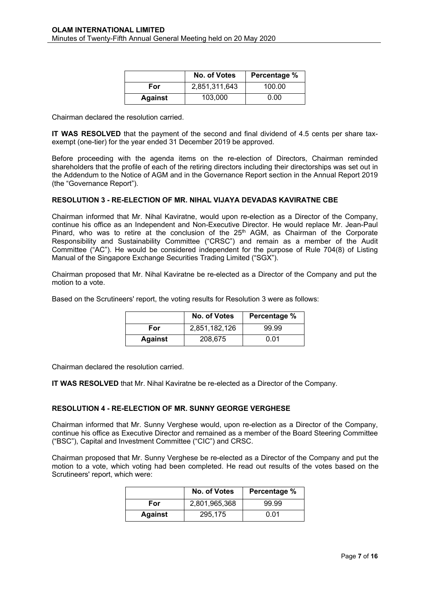|                | No. of Votes  | Percentage % |
|----------------|---------------|--------------|
| For            | 2,851,311,643 | 100.00       |
| <b>Against</b> | 103,000       | 0.00         |

Chairman declared the resolution carried.

**IT WAS RESOLVED** that the payment of the second and final dividend of 4.5 cents per share taxexempt (one-tier) for the year ended 31 December 2019 be approved.

Before proceeding with the agenda items on the re-election of Directors, Chairman reminded shareholders that the profile of each of the retiring directors including their directorships was set out in the Addendum to the Notice of AGM and in the Governance Report section in the Annual Report 2019 (the "Governance Report").

#### **RESOLUTION 3 - RE-ELECTION OF MR. NIHAL VIJAYA DEVADAS KAVIRATNE CBE**

Chairman informed that Mr. Nihal Kaviratne, would upon re-election as a Director of the Company, continue his office as an Independent and Non-Executive Director. He would replace Mr. Jean-Paul Pinard, who was to retire at the conclusion of the  $25<sup>th</sup>$  AGM, as Chairman of the Corporate Responsibility and Sustainability Committee ("CRSC") and remain as a member of the Audit Committee ("AC"). He would be considered independent for the purpose of Rule 704(8) of Listing Manual of the Singapore Exchange Securities Trading Limited ("SGX").

Chairman proposed that Mr. Nihal Kaviratne be re-elected as a Director of the Company and put the motion to a vote.

Based on the Scrutineers' report, the voting results for Resolution 3 were as follows:

|                | No. of Votes  | Percentage % |
|----------------|---------------|--------------|
| For.           | 2,851,182,126 | 99.99        |
| <b>Against</b> | 208,675       | 0.01         |

Chairman declared the resolution carried.

**IT WAS RESOLVED** that Mr. Nihal Kaviratne be re-elected as a Director of the Company.

#### **RESOLUTION 4 - RE-ELECTION OF MR. SUNNY GEORGE VERGHESE**

Chairman informed that Mr. Sunny Verghese would, upon re-election as a Director of the Company, continue his office as Executive Director and remained as a member of the Board Steering Committee ("BSC"), Capital and Investment Committee ("CIC") and CRSC.

Chairman proposed that Mr. Sunny Verghese be re-elected as a Director of the Company and put the motion to a vote, which voting had been completed. He read out results of the votes based on the Scrutineers' report, which were:

|                | No. of Votes  | Percentage % |
|----------------|---------------|--------------|
| For            | 2,801,965,368 | 99.99        |
| <b>Against</b> | 295,175       | 0.01         |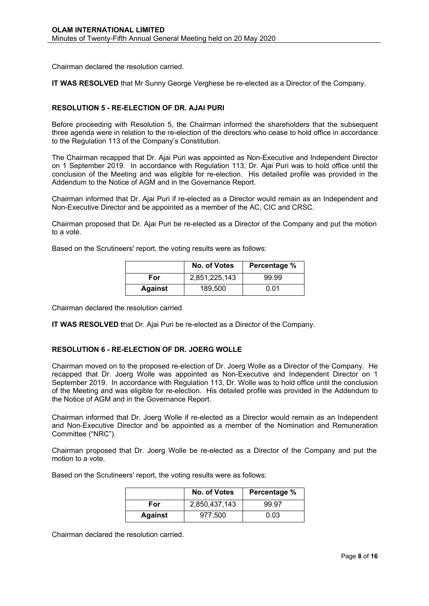Chairman declared the resolution carried.

**IT WAS RESOLVED** that Mr Sunny George Verghese be re-elected as a Director of the Company.

## **RESOLUTION 5 - RE-ELECTION OF DR. AJAI PURI**

Before proceeding with Resolution 5, the Chairman informed the shareholders that the subsequent three agenda were in relation to the re-election of the directors who cease to hold office in accordance to the Regulation 113 of the Company's Constitution.

The Chairman recapped that Dr. Ajai Puri was appointed as Non-Executive and Independent Director on 1 September 2019. In accordance with Regulation 113, Dr. Ajai Puri was to hold office until the conclusion of the Meeting and was eligible for re-election. His detailed profile was provided in the Addendum to the Notice of AGM and in the Governance Report.

Chairman informed that Dr. Ajai Puri if re-elected as a Director would remain as an Independent and Non-Executive Director and be appointed as a member of the AC, CIC and CRSC.

Chairman proposed that Dr. Ajai Puri be re-elected as a Director of the Company and put the motion to a vote.

Based on the Scrutineers' report, the voting results were as follows:

|                | No. of Votes  | Percentage % |
|----------------|---------------|--------------|
| For            | 2,851,225,143 | 99.99        |
| <b>Against</b> | 189.500       | 0.01         |

Chairman declared the resolution carried.

**IT WAS RESOLVED t**hat Dr. Ajai Puri be re-elected as a Director of the Company.

# **RESOLUTION 6 - RE-ELECTION OF DR. JOERG WOLLE**

Chairman moved on to the proposed re-election of Dr. Joerg Wolle as a Director of the Company. He recapped that Dr. Joerg Wolle was appointed as Non-Executive and Independent Director on 1 September 2019. In accordance with Regulation 113, Dr. Wolle was to hold office until the conclusion of the Meeting and was eligible for re-election. His detailed profile was provided in the Addendum to the Notice of AGM and in the Governance Report.

Chairman informed that Dr. Joerg Wolle if re-elected as a Director would remain as an Independent and Non-Executive Director and be appointed as a member of the Nomination and Remuneration Committee ("NRC").

Chairman proposed that Dr. Joerg Wolle be re-elected as a Director of the Company and put the motion to a vote.

Based on the Scrutineers' report, the voting results were as follows:

|                | No. of Votes  | Percentage % |
|----------------|---------------|--------------|
| For            | 2,850,437,143 | 99.97        |
| <b>Against</b> | 977,500       | 0.03         |

Chairman declared the resolution carried.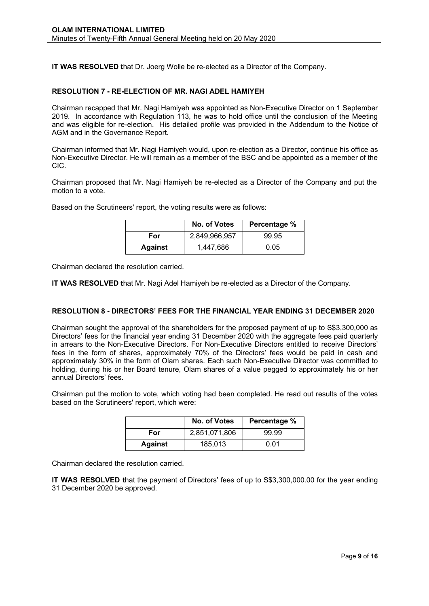**IT WAS RESOLVED t**hat Dr. Joerg Wolle be re-elected as a Director of the Company.

### **RESOLUTION 7 - RE-ELECTION OF MR. NAGI ADEL HAMIYEH**

Chairman recapped that Mr. Nagi Hamiyeh was appointed as Non-Executive Director on 1 September 2019. In accordance with Regulation 113, he was to hold office until the conclusion of the Meeting and was eligible for re-election. His detailed profile was provided in the Addendum to the Notice of AGM and in the Governance Report.

Chairman informed that Mr. Nagi Hamiyeh would, upon re-election as a Director, continue his office as Non-Executive Director. He will remain as a member of the BSC and be appointed as a member of the CIC.

Chairman proposed that Mr. Nagi Hamiyeh be re-elected as a Director of the Company and put the motion to a vote.

|                | No. of Votes  | Percentage % |
|----------------|---------------|--------------|
| For            | 2,849,966,957 | 99.95        |
| <b>Against</b> | 1,447,686     | 0.05         |

Based on the Scrutineers' report, the voting results were as follows:

Chairman declared the resolution carried.

**IT WAS RESOLVED t**hat Mr. Nagi Adel Hamiyeh be re-elected as a Director of the Company.

# **RESOLUTION 8 - DIRECTORS' FEES FOR THE FINANCIAL YEAR ENDING 31 DECEMBER 2020**

Chairman sought the approval of the shareholders for the proposed payment of up to S\$3,300,000 as Directors' fees for the financial year ending 31 December 2020 with the aggregate fees paid quarterly in arrears to the Non-Executive Directors. For Non-Executive Directors entitled to receive Directors' fees in the form of shares, approximately 70% of the Directors' fees would be paid in cash and approximately 30% in the form of Olam shares. Each such Non-Executive Director was committed to holding, during his or her Board tenure, Olam shares of a value pegged to approximately his or her annual Directors' fees.

Chairman put the motion to vote, which voting had been completed. He read out results of the votes based on the Scrutineers' report, which were:

|                | No. of Votes  | Percentage % |
|----------------|---------------|--------------|
| For            | 2,851,071,806 | 99.99        |
| <b>Against</b> | 185.013       | 0.01         |

Chairman declared the resolution carried.

**IT WAS RESOLVED t**hat the payment of Directors' fees of up to S\$3,300,000.00 for the year ending 31 December 2020 be approved.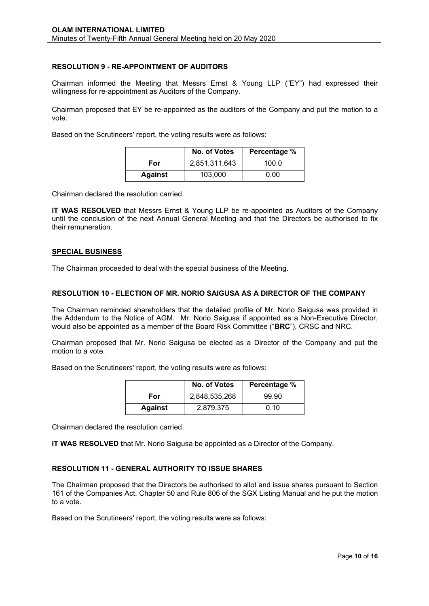# **RESOLUTION 9 - RE-APPOINTMENT OF AUDITORS**

Chairman informed the Meeting that Messrs Ernst & Young LLP ("EY") had expressed their willingness for re-appointment as Auditors of the Company.

Chairman proposed that EY be re-appointed as the auditors of the Company and put the motion to a vote.

Based on the Scrutineers' report, the voting results were as follows:

|                | No. of Votes  | Percentage % |
|----------------|---------------|--------------|
| For            | 2,851,311,643 | 100.0        |
| <b>Against</b> | 103,000       | 0.00         |

Chairman declared the resolution carried.

**IT WAS RESOLVED** that Messrs Ernst & Young LLP be re-appointed as Auditors of the Company until the conclusion of the next Annual General Meeting and that the Directors be authorised to fix their remuneration.

### **SPECIAL BUSINESS**

The Chairman proceeded to deal with the special business of the Meeting.

#### **RESOLUTION 10 - ELECTION OF MR. NORIO SAIGUSA AS A DIRECTOR OF THE COMPANY**

The Chairman reminded shareholders that the detailed profile of Mr. Norio Saigusa was provided in the Addendum to the Notice of AGM. Mr. Norio Saigusa if appointed as a Non-Executive Director, would also be appointed as a member of the Board Risk Committee ("**BRC**"), CRSC and NRC.

Chairman proposed that Mr. Norio Saigusa be elected as a Director of the Company and put the motion to a vote.

Based on the Scrutineers' report, the voting results were as follows:

|                | No. of Votes  | Percentage % |
|----------------|---------------|--------------|
| <b>For</b>     | 2,848,535,268 | 99.90        |
| <b>Against</b> | 2,879,375     | 0.10         |

Chairman declared the resolution carried.

**IT WAS RESOLVED t**hat Mr. Norio Saigusa be appointed as a Director of the Company.

# **RESOLUTION 11 - GENERAL AUTHORITY TO ISSUE SHARES**

The Chairman proposed that the Directors be authorised to allot and issue shares pursuant to Section 161 of the Companies Act, Chapter 50 and Rule 806 of the SGX Listing Manual and he put the motion to a vote.

Based on the Scrutineers' report, the voting results were as follows: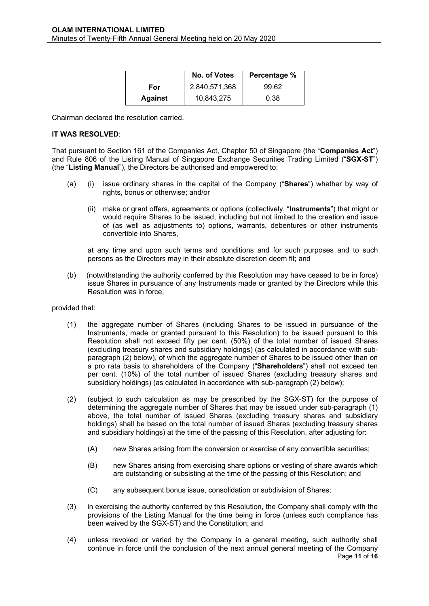|                | No. of Votes  | Percentage % |
|----------------|---------------|--------------|
| For            | 2,840,571,368 | 99.62        |
| <b>Against</b> | 10,843,275    | 0.38         |

Chairman declared the resolution carried.

### **IT WAS RESOLVED**:

That pursuant to Section 161 of the Companies Act, Chapter 50 of Singapore (the "**Companies Act**") and Rule 806 of the Listing Manual of Singapore Exchange Securities Trading Limited ("**SGX-ST**") (the "**Listing Manual**"), the Directors be authorised and empowered to:

- (a) (i) issue ordinary shares in the capital of the Company ("**Shares**") whether by way of rights, bonus or otherwise; and/or
	- (ii) make or grant offers, agreements or options (collectively, "**Instruments**") that might or would require Shares to be issued, including but not limited to the creation and issue of (as well as adjustments to) options, warrants, debentures or other instruments convertible into Shares,

at any time and upon such terms and conditions and for such purposes and to such persons as the Directors may in their absolute discretion deem fit; and

(b) (notwithstanding the authority conferred by this Resolution may have ceased to be in force) issue Shares in pursuance of any Instruments made or granted by the Directors while this Resolution was in force,

#### provided that:

- (1) the aggregate number of Shares (including Shares to be issued in pursuance of the Instruments, made or granted pursuant to this Resolution) to be issued pursuant to this Resolution shall not exceed fifty per cent. (50%) of the total number of issued Shares (excluding treasury shares and subsidiary holdings) (as calculated in accordance with subparagraph (2) below), of which the aggregate number of Shares to be issued other than on a pro rata basis to shareholders of the Company ("**Shareholders**") shall not exceed ten per cent. (10%) of the total number of issued Shares (excluding treasury shares and subsidiary holdings) (as calculated in accordance with sub-paragraph (2) below);
- (2) (subject to such calculation as may be prescribed by the SGX-ST) for the purpose of determining the aggregate number of Shares that may be issued under sub-paragraph (1) above, the total number of issued Shares (excluding treasury shares and subsidiary holdings) shall be based on the total number of issued Shares (excluding treasury shares and subsidiary holdings) at the time of the passing of this Resolution, after adjusting for:
	- (A) new Shares arising from the conversion or exercise of any convertible securities;
	- (B) new Shares arising from exercising share options or vesting of share awards which are outstanding or subsisting at the time of the passing of this Resolution; and
	- (C) any subsequent bonus issue, consolidation or subdivision of Shares;
- (3) in exercising the authority conferred by this Resolution, the Company shall comply with the provisions of the Listing Manual for the time being in force (unless such compliance has been waived by the SGX-ST) and the Constitution; and
- Page **11** of **16** (4) unless revoked or varied by the Company in a general meeting, such authority shall continue in force until the conclusion of the next annual general meeting of the Company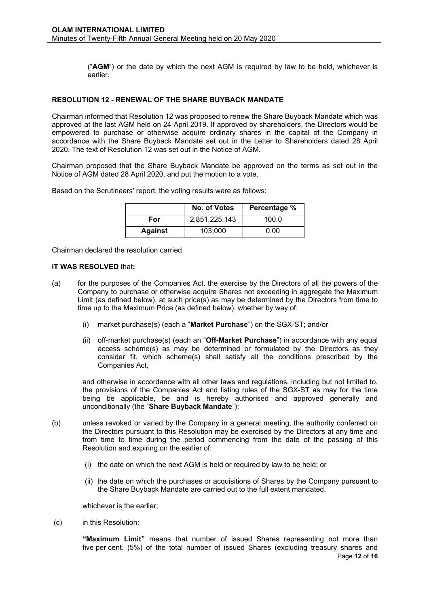("**AGM**") or the date by which the next AGM is required by law to be held, whichever is earlier.

# **RESOLUTION 12 - RENEWAL OF THE SHARE BUYBACK MANDATE**

Chairman informed that Resolution 12 was proposed to renew the Share Buyback Mandate which was approved at the last AGM held on 24 April 2019. If approved by shareholders, the Directors would be empowered to purchase or otherwise acquire ordinary shares in the capital of the Company in accordance with the Share Buyback Mandate set out in the Letter to Shareholders dated 28 April 2020. The text of Resolution 12 was set out in the Notice of AGM.

Chairman proposed that the Share Buyback Mandate be approved on the terms as set out in the Notice of AGM dated 28 April 2020, and put the motion to a vote.

Based on the Scrutineers' report, the voting results were as follows:

|                | No. of Votes  | Percentage % |
|----------------|---------------|--------------|
| For            | 2,851,225,143 | 100.0        |
| <b>Against</b> | 103.000       | 0.00         |

Chairman declared the resolution carried.

### **IT WAS RESOLVED** that**:**

- (a) for the purposes of the Companies Act, the exercise by the Directors of all the powers of the Company to purchase or otherwise acquire Shares not exceeding in aggregate the Maximum Limit (as defined below), at such price(s) as may be determined by the Directors from time to time up to the Maximum Price (as defined below), whether by way of:
	- (i) market purchase(s) (each a "**Market Purchase**") on the SGX-ST; and/or
	- (ii) off-market purchase(s) (each an "**Off-Market Purchase**") in accordance with any equal access scheme(s) as may be determined or formulated by the Directors as they consider fit, which scheme(s) shall satisfy all the conditions prescribed by the Companies Act,

and otherwise in accordance with all other laws and regulations, including but not limited to, the provisions of the Companies Act and listing rules of the SGX-ST as may for the time being be applicable, be and is hereby authorised and approved generally and unconditionally (the "**Share Buyback Mandate**");

- (b) unless revoked or varied by the Company in a general meeting, the authority conferred on the Directors pursuant to this Resolution may be exercised by the Directors at any time and from time to time during the period commencing from the date of the passing of this Resolution and expiring on the earlier of:
	- (i) the date on which the next AGM is held or required by law to be held; or
	- (ii) the date on which the purchases or acquisitions of Shares by the Company pursuant to the Share Buyback Mandate are carried out to the full extent mandated,

whichever is the earlier;

(c) in this Resolution:

Page **12** of **16 "Maximum Limit"** means that number of issued Shares representing not more than five per cent. (5%) of the total number of issued Shares (excluding treasury shares and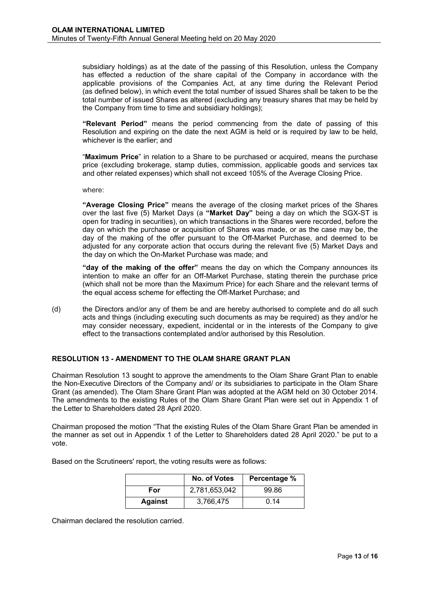subsidiary holdings) as at the date of the passing of this Resolution, unless the Company has effected a reduction of the share capital of the Company in accordance with the applicable provisions of the Companies Act, at any time during the Relevant Period (as defined below), in which event the total number of issued Shares shall be taken to be the total number of issued Shares as altered (excluding any treasury shares that may be held by the Company from time to time and subsidiary holdings);

**"Relevant Period"** means the period commencing from the date of passing of this Resolution and expiring on the date the next AGM is held or is required by law to be held, whichever is the earlier; and

"**Maximum Price**" in relation to a Share to be purchased or acquired, means the purchase price (excluding brokerage, stamp duties, commission, applicable goods and services tax and other related expenses) which shall not exceed 105% of the Average Closing Price.

where:

**"Average Closing Price"** means the average of the closing market prices of the Shares over the last five (5) Market Days (a **"Market Day"** being a day on which the SGX-ST is open for trading in securities), on which transactions in the Shares were recorded, before the day on which the purchase or acquisition of Shares was made, or as the case may be, the day of the making of the offer pursuant to the Off-Market Purchase, and deemed to be adjusted for any corporate action that occurs during the relevant five (5) Market Days and the day on which the On-Market Purchase was made; and

**"day of the making of the offer"** means the day on which the Company announces its intention to make an offer for an Off-Market Purchase, stating therein the purchase price (which shall not be more than the Maximum Price) for each Share and the relevant terms of the equal access scheme for effecting the Off-Market Purchase; and

(d) the Directors and/or any of them be and are hereby authorised to complete and do all such acts and things (including executing such documents as may be required) as they and/or he may consider necessary, expedient, incidental or in the interests of the Company to give effect to the transactions contemplated and/or authorised by this Resolution.

# **RESOLUTION 13 - AMENDMENT TO THE OLAM SHARE GRANT PLAN**

Chairman Resolution 13 sought to approve the amendments to the Olam Share Grant Plan to enable the Non-Executive Directors of the Company and/ or its subsidiaries to participate in the Olam Share Grant (as amended). The Olam Share Grant Plan was adopted at the AGM held on 30 October 2014. The amendments to the existing Rules of the Olam Share Grant Plan were set out in Appendix 1 of the Letter to Shareholders dated 28 April 2020.

Chairman proposed the motion "That the existing Rules of the Olam Share Grant Plan be amended in the manner as set out in Appendix 1 of the Letter to Shareholders dated 28 April 2020." be put to a vote.

Based on the Scrutineers' report, the voting results were as follows:

|                | No. of Votes  | Percentage % |
|----------------|---------------|--------------|
| For            | 2,781,653,042 | 99.86        |
| <b>Against</b> | 3,766,475     | 0.14         |

Chairman declared the resolution carried.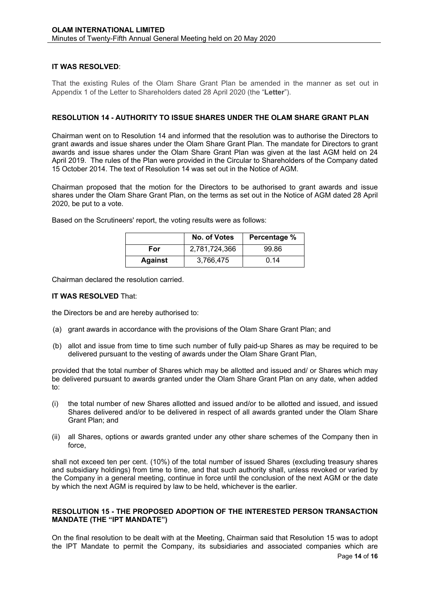# **IT WAS RESOLVED**:

That the existing Rules of the Olam Share Grant Plan be amended in the manner as set out in Appendix 1 of the Letter to Shareholders dated 28 April 2020 (the "**Letter**").

## **RESOLUTION 14 - AUTHORITY TO ISSUE SHARES UNDER THE OLAM SHARE GRANT PLAN**

Chairman went on to Resolution 14 and informed that the resolution was to authorise the Directors to grant awards and issue shares under the Olam Share Grant Plan. The mandate for Directors to grant awards and issue shares under the Olam Share Grant Plan was given at the last AGM held on 24 April 2019. The rules of the Plan were provided in the Circular to Shareholders of the Company dated 15 October 2014. The text of Resolution 14 was set out in the Notice of AGM.

Chairman proposed that the motion for the Directors to be authorised to grant awards and issue shares under the Olam Share Grant Plan, on the terms as set out in the Notice of AGM dated 28 April 2020, be put to a vote.

|                | No. of Votes  | Percentage % |
|----------------|---------------|--------------|
| For            | 2,781,724,366 | 99.86        |
| <b>Against</b> | 3,766,475     | 0.14         |

Based on the Scrutineers' report, the voting results were as follows:

Chairman declared the resolution carried.

#### **IT WAS RESOLVED** That:

the Directors be and are hereby authorised to:

- (a) grant awards in accordance with the provisions of the Olam Share Grant Plan; and
- (b) allot and issue from time to time such number of fully paid-up Shares as may be required to be delivered pursuant to the vesting of awards under the Olam Share Grant Plan,

provided that the total number of Shares which may be allotted and issued and/ or Shares which may be delivered pursuant to awards granted under the Olam Share Grant Plan on any date, when added to:

- (i) the total number of new Shares allotted and issued and/or to be allotted and issued, and issued Shares delivered and/or to be delivered in respect of all awards granted under the Olam Share Grant Plan; and
- (ii) all Shares, options or awards granted under any other share schemes of the Company then in force,

shall not exceed ten per cent. (10%) of the total number of issued Shares (excluding treasury shares and subsidiary holdings) from time to time, and that such authority shall, unless revoked or varied by the Company in a general meeting, continue in force until the conclusion of the next AGM or the date by which the next AGM is required by law to be held, whichever is the earlier.

### **RESOLUTION 15 - THE PROPOSED ADOPTION OF THE INTERESTED PERSON TRANSACTION MANDATE (THE "IPT MANDATE")**

Page **14** of **16** On the final resolution to be dealt with at the Meeting, Chairman said that Resolution 15 was to adopt the IPT Mandate to permit the Company, its subsidiaries and associated companies which are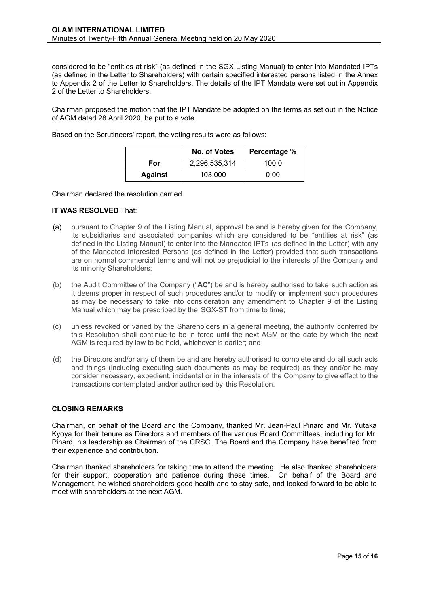considered to be "entities at risk" (as defined in the SGX Listing Manual) to enter into Mandated IPTs (as defined in the Letter to Shareholders) with certain specified interested persons listed in the Annex to Appendix 2 of the Letter to Shareholders. The details of the IPT Mandate were set out in Appendix 2 of the Letter to Shareholders.

Chairman proposed the motion that the IPT Mandate be adopted on the terms as set out in the Notice of AGM dated 28 April 2020, be put to a vote.

Based on the Scrutineers' report, the voting results were as follows:

|                | No. of Votes  | Percentage % |
|----------------|---------------|--------------|
| For            | 2,296,535,314 | 100.0        |
| <b>Against</b> | 103.000       | 0.00         |

Chairman declared the resolution carried.

#### **IT WAS RESOLVED** That:

- (a) pursuant to Chapter 9 of the Listing Manual, approval be and is hereby given for the Company, its subsidiaries and associated companies which are considered to be "entities at risk" (as defined in the Listing Manual) to enter into the Mandated IPTs (as defined in the Letter) with any of the Mandated Interested Persons (as defined in the Letter) provided that such transactions are on normal commercial terms and will not be prejudicial to the interests of the Company and its minority Shareholders;
- (b) the Audit Committee of the Company ("**AC**") be and is hereby authorised to take such action as it deems proper in respect of such procedures and/or to modify or implement such procedures as may be necessary to take into consideration any amendment to Chapter 9 of the Listing Manual which may be prescribed by the SGX-ST from time to time;
- (c) unless revoked or varied by the Shareholders in a general meeting, the authority conferred by this Resolution shall continue to be in force until the next AGM or the date by which the next AGM is required by law to be held, whichever is earlier; and
- (d) the Directors and/or any of them be and are hereby authorised to complete and do all such acts and things (including executing such documents as may be required) as they and/or he may consider necessary, expedient, incidental or in the interests of the Company to give effect to the transactions contemplated and/or authorised by this Resolution.

# **CLOSING REMARKS**

Chairman, on behalf of the Board and the Company, thanked Mr. Jean-Paul Pinard and Mr. Yutaka Kyoya for their tenure as Directors and members of the various Board Committees, including for Mr. Pinard, his leadership as Chairman of the CRSC. The Board and the Company have benefited from their experience and contribution.

Chairman thanked shareholders for taking time to attend the meeting. He also thanked shareholders for their support, cooperation and patience during these times. On behalf of the Board and Management, he wished shareholders good health and to stay safe, and looked forward to be able to meet with shareholders at the next AGM.